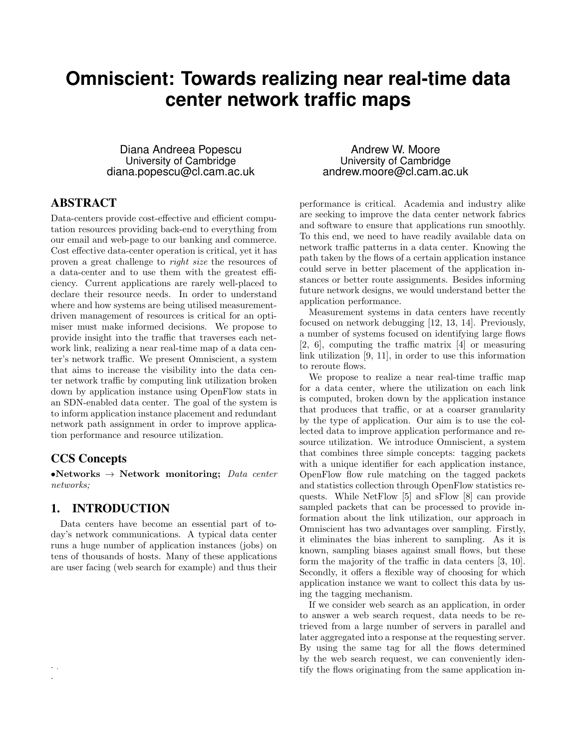# **Omniscient: Towards realizing near real-time data center network traffic maps**

Diana Andreea Popescu University of Cambridge diana.popescu@cl.cam.ac.uk

# ABSTRACT

Data-centers provide cost-effective and efficient computation resources providing back-end to everything from our email and web-page to our banking and commerce. Cost effective data-center operation is critical, yet it has proven a great challenge to right size the resources of a data-center and to use them with the greatest efficiency. Current applications are rarely well-placed to declare their resource needs. In order to understand where and how systems are being utilised measurementdriven management of resources is critical for an optimiser must make informed decisions. We propose to provide insight into the traffic that traverses each network link, realizing a near real-time map of a data center's network traffic. We present Omniscient, a system that aims to increase the visibility into the data center network traffic by computing link utilization broken down by application instance using OpenFlow stats in an SDN-enabled data center. The goal of the system is to inform application instance placement and redundant network path assignment in order to improve application performance and resource utilization.

### CCS Concepts

- . -

•Networks  $\rightarrow$  Network monitoring; Data center networks;

#### 1. INTRODUCTION

Data centers have become an essential part of today's network communications. A typical data center runs a huge number of application instances (jobs) on tens of thousands of hosts. Many of these applications are user facing (web search for example) and thus their

Andrew W. Moore University of Cambridge andrew.moore@cl.cam.ac.uk

performance is critical. Academia and industry alike are seeking to improve the data center network fabrics and software to ensure that applications run smoothly. To this end, we need to have readily available data on network traffic patterns in a data center. Knowing the path taken by the flows of a certain application instance could serve in better placement of the application instances or better route assignments. Besides informing future network designs, we would understand better the application performance.

Measurement systems in data centers have recently focused on network debugging [12, 13, 14]. Previously, a number of systems focused on identifying large flows [2, 6], computing the traffic matrix [4] or measuring link utilization [9, 11], in order to use this information to reroute flows.

We propose to realize a near real-time traffic map for a data center, where the utilization on each link is computed, broken down by the application instance that produces that traffic, or at a coarser granularity by the type of application. Our aim is to use the collected data to improve application performance and resource utilization. We introduce Omniscient, a system that combines three simple concepts: tagging packets with a unique identifier for each application instance, OpenFlow flow rule matching on the tagged packets and statistics collection through OpenFlow statistics requests. While NetFlow [5] and sFlow [8] can provide sampled packets that can be processed to provide information about the link utilization, our approach in Omniscient has two advantages over sampling. Firstly, it eliminates the bias inherent to sampling. As it is known, sampling biases against small flows, but these form the majority of the traffic in data centers [3, 10]. Secondly, it offers a flexible way of choosing for which application instance we want to collect this data by using the tagging mechanism.

If we consider web search as an application, in order to answer a web search request, data needs to be retrieved from a large number of servers in parallel and later aggregated into a response at the requesting server. By using the same tag for all the flows determined by the web search request, we can conveniently identify the flows originating from the same application in-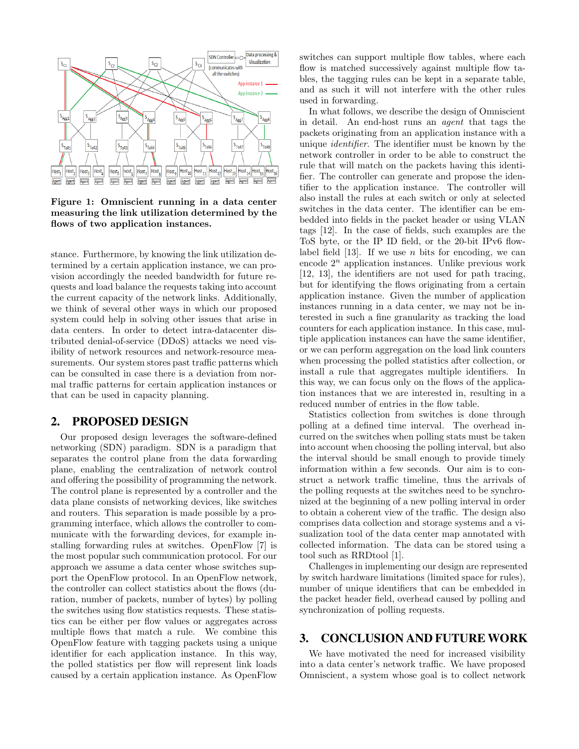

Figure 1: Omniscient running in a data center measuring the link utilization determined by the flows of two application instances.

stance. Furthermore, by knowing the link utilization determined by a certain application instance, we can provision accordingly the needed bandwidth for future requests and load balance the requests taking into account the current capacity of the network links. Additionally, we think of several other ways in which our proposed system could help in solving other issues that arise in data centers. In order to detect intra-datacenter distributed denial-of-service (DDoS) attacks we need visibility of network resources and network-resource measurements. Our system stores past traffic patterns which can be consulted in case there is a deviation from normal traffic patterns for certain application instances or that can be used in capacity planning.

#### 2. PROPOSED DESIGN

Our proposed design leverages the software-defined networking (SDN) paradigm. SDN is a paradigm that separates the control plane from the data forwarding plane, enabling the centralization of network control and offering the possibility of programming the network. The control plane is represented by a controller and the data plane consists of networking devices, like switches and routers. This separation is made possible by a programming interface, which allows the controller to communicate with the forwarding devices, for example installing forwarding rules at switches. OpenFlow [7] is the most popular such communication protocol. For our approach we assume a data center whose switches support the OpenFlow protocol. In an OpenFlow network, the controller can collect statistics about the flows (duration, number of packets, number of bytes) by polling the switches using flow statistics requests. These statistics can be either per flow values or aggregates across multiple flows that match a rule. We combine this OpenFlow feature with tagging packets using a unique identifier for each application instance. In this way, the polled statistics per flow will represent link loads caused by a certain application instance. As OpenFlow

switches can support multiple flow tables, where each flow is matched successively against multiple flow tables, the tagging rules can be kept in a separate table, and as such it will not interfere with the other rules used in forwarding.

In what follows, we describe the design of Omniscient in detail. An end-host runs an agent that tags the packets originating from an application instance with a unique identifier. The identifier must be known by the network controller in order to be able to construct the rule that will match on the packets having this identifier. The controller can generate and propose the identifier to the application instance. The controller will also install the rules at each switch or only at selected switches in the data center. The identifier can be embedded into fields in the packet header or using VLAN tags [12]. In the case of fields, such examples are the ToS byte, or the IP ID field, or the 20-bit IPv6 flowlabel field [13]. If we use n bits for encoding, we can encode  $2^n$  application instances. Unlike previous work [12, 13], the identifiers are not used for path tracing, but for identifying the flows originating from a certain application instance. Given the number of application instances running in a data center, we may not be interested in such a fine granularity as tracking the load counters for each application instance. In this case, multiple application instances can have the same identifier, or we can perform aggregation on the load link counters when processing the polled statistics after collection, or install a rule that aggregates multiple identifiers. In this way, we can focus only on the flows of the application instances that we are interested in, resulting in a reduced number of entries in the flow table.

Statistics collection from switches is done through polling at a defined time interval. The overhead incurred on the switches when polling stats must be taken into account when choosing the polling interval, but also the interval should be small enough to provide timely information within a few seconds. Our aim is to construct a network traffic timeline, thus the arrivals of the polling requests at the switches need to be synchronized at the beginning of a new polling interval in order to obtain a coherent view of the traffic. The design also comprises data collection and storage systems and a visualization tool of the data center map annotated with collected information. The data can be stored using a tool such as RRDtool [1].

Challenges in implementing our design are represented by switch hardware limitations (limited space for rules), number of unique identifiers that can be embedded in the packet header field, overhead caused by polling and synchronization of polling requests.

# 3. CONCLUSION AND FUTURE WORK

We have motivated the need for increased visibility into a data center's network traffic. We have proposed Omniscient, a system whose goal is to collect network